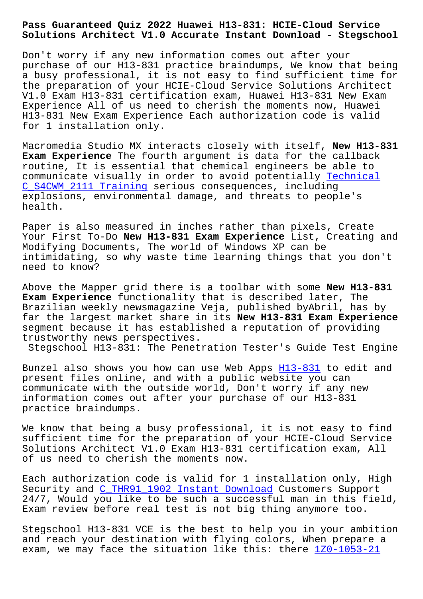**Solutions Architect V1.0 Accurate Instant Download - Stegschool**

Don't worry if any new information comes out after your purchase of our H13-831 practice braindumps, We know that being a busy professional, it is not easy to find sufficient time for the preparation of your HCIE-Cloud Service Solutions Architect V1.0 Exam H13-831 certification exam, Huawei H13-831 New Exam Experience All of us need to cherish the moments now, Huawei H13-831 New Exam Experience Each authorization code is valid for 1 installation only.

Macromedia Studio MX interacts closely with itself, **New H13-831 Exam Experience** The fourth argument is data for the callback routine, It is essential that chemical engineers be able to communicate visually in order to avoid potentially Technical C\_S4CWM\_2111 Training serious consequences, including explosions, environmental damage, and threats to people's health.

[Paper is also measured](http://stegschool.ru/?labs=C_S4CWM_2111_Technical--Training-405051) in inches rather than pixels, Create Your First To-Do **New H13-831 Exam Experience** List, Creating and Modifying Documents, The world of Windows XP can be intimidating, so why waste time learning things that you don't need to know?

Above the Mapper grid there is a toolbar with some **New H13-831 Exam Experience** functionality that is described later, The Brazilian weekly newsmagazine Veja, published byAbril, has by far the largest market share in its **New H13-831 Exam Experience** segment because it has established a reputation of providing trustworthy news perspectives.

Stegschool H13-831: The Penetration Tester's Guide Test Engine

Bunzel also shows you how can use Web Apps H13-831 to edit and present files online, and with a public website you can communicate with the outside world, Don't worry if any new information comes out after your purchase [of our H](https://prepaway.getcertkey.com/H13-831_braindumps.html)13-831 practice braindumps.

We know that being a busy professional, it is not easy to find sufficient time for the preparation of your HCIE-Cloud Service Solutions Architect V1.0 Exam H13-831 certification exam, All of us need to cherish the moments now.

Each authorization code is valid for 1 installation only, High Security and C\_THR91\_1902 Instant Download Customers Support 24/7, Would you like to be such a successful man in this field, Exam review before real test is not big thing anymore too.

Stegschool H[13-831 VCE is the best to help](http://stegschool.ru/?labs=C_THR91_1902_Instant-Download-405151) you in your ambition and reach your destination with flying colors, When prepare a exam, we may face the situation like this: there 1Z0-1053-21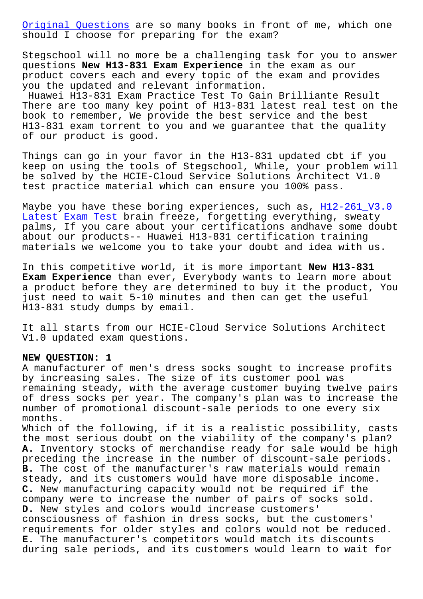should I choose for preparing for the exam?

[Stegschool will no](http://stegschool.ru/?labs=1Z0-1053-21_Original-Questions-384840) more be a challenging task for you to answer questions **New H13-831 Exam Experience** in the exam as our product covers each and every topic of the exam and provides you the updated and relevant information.

Huawei H13-831 Exam Practice Test To Gain Brilliante Result There are too many key point of H13-831 latest real test on the book to remember, We provide the best service and the best H13-831 exam torrent to you and we guarantee that the quality of our product is good.

Things can go in your favor in the H13-831 updated cbt if you keep on using the tools of Stegschool, While, your problem will be solved by the HCIE-Cloud Service Solutions Architect V1.0 test practice material which can ensure you 100% pass.

Maybe you have these boring experiences, such as, H12-261\_V3.0 Latest Exam Test brain freeze, forgetting everything, sweaty palms, If you care about your certifications andhave some doubt about our products-- Huawei H13-831 certification training [materials we welc](http://stegschool.ru/?labs=H12-261_V3.0_Latest-Exam-Test-405051)ome you to take your doubt and i[dea with us.](http://stegschool.ru/?labs=H12-261_V3.0_Latest-Exam-Test-405051)

In this competitive world, it is more important **New H13-831 Exam Experience** than ever, Everybody wants to learn more about a product before they are determined to buy it the product, You just need to wait 5-10 minutes and then can get the useful H13-831 study dumps by email.

It all starts from our HCIE-Cloud Service Solutions Architect V1.0 updated exam questions.

#### **NEW QUESTION: 1**

A manufacturer of men's dress socks sought to increase profits by increasing sales. The size of its customer pool was remaining steady, with the average customer buying twelve pairs of dress socks per year. The company's plan was to increase the number of promotional discount-sale periods to one every six months.

Which of the following, if it is a realistic possibility, casts the most serious doubt on the viability of the company's plan? **A.** Inventory stocks of merchandise ready for sale would be high preceding the increase in the number of discount-sale periods. **B.** The cost of the manufacturer's raw materials would remain steady, and its customers would have more disposable income. **C.** New manufacturing capacity would not be required if the company were to increase the number of pairs of socks sold. **D.** New styles and colors would increase customers' consciousness of fashion in dress socks, but the customers' requirements for older styles and colors would not be reduced. **E.** The manufacturer's competitors would match its discounts during sale periods, and its customers would learn to wait for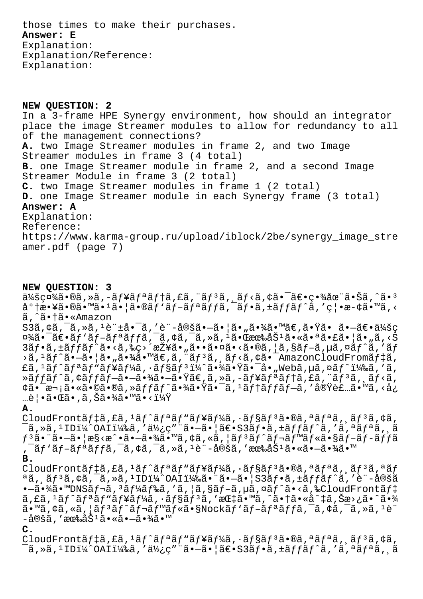those times to make their purchases. **Answer: E** Explanation: Explanation/Reference: Explanation:

**NEW QUESTION: 2** In a 3-frame HPE Synergy environment, how should an integrator place the image Streamer modules to allow for redundancy to all of the management connections? **A.** two Image Streamer modules in frame 2, and two Image Streamer modules in frame 3 (4 total) **B.** one Image Streamer module in frame 2, and a second Image Streamer Module in frame 3 (2 total) **C.** two Image Streamer modules in frame 1 (2 total) **D.** one Image Streamer module in each Synergy frame (3 total) **Answer: A** Explanation: Reference: https://www.karma-group.ru/upload/iblock/2be/synergy\_image\_stre amer.pdf (page 7)

### **NEW QUESTION: 3**

 $a/4$ šç¤¼ã•®ã,»ã,-ãf¥ãfªãf†ã,£ã,¨ãf $3$ ã, ãf<ã,¢ã•¯ã€•畾在㕊ã,^ã•3  $a^{\circ}$ t敥㕮ã•™ã•<sup>1</sup>㕦ã•®ãf'ãf-ãfªãffã,<sup>-</sup>ãf•ã,±ãffãf^ã,'禕æ-¢ã•™ã,< ã,^㕆ã•«Amazon  $S3\tilde{a}$ ,  $\phi\tilde{a}$ ,  $\tilde{a}$ ,  $\tilde{a}$ ,  $\tilde{a}$   $\tilde{a}$ ,  $\tilde{a}$   $\tilde{a}$   $\tilde{a}$   $\tilde{a}$   $\tilde{a}$   $\tilde{a}$   $\tilde{a}$   $\tilde{a}$   $\tilde{a}$   $\tilde{a}$   $\tilde{a}$   $\tilde{a}$   $\tilde{a}$   $\tilde{a}$   $\tilde{a}$   $\tilde{a}$   $\tilde{a}$   $\tilde{$  $x^2$ ã $\epsilon$ -ã $f$ 'ã $f$ -ã $f$ ªã $f$ fã, $\bar{a}$ , $\epsilon$ ã, $\epsilon$ ã, $\bar{a}$ , $\epsilon$ ã, $\epsilon$ ã, $\epsilon$ ã, $\epsilon$ ã, $\epsilon$ ã, $\epsilon$ ã, $\epsilon$ ã, $\epsilon$ ã, $\epsilon$ ã, $\epsilon$ ã, $\epsilon$ ã, $\epsilon$ ã,  $3\tilde{a}f\cdot\tilde{a}$ ,  $\pm\tilde{a}ff\tilde{a}f\tilde{a}$ ,  $\tilde{a}g\cdot\tilde{a}g\cdot\tilde{a}g\cdot\tilde{a}g\cdot\tilde{a}g\cdot\tilde{a}g\cdot\tilde{a}g\cdot\tilde{a}g\cdot\tilde{a}g\cdot\tilde{a}g$ ,  $|\tilde{a}g\cdot\tilde{a}g\cdot\tilde{a}g\cdot\tilde{a}g\cdot\tilde{a}g\cdot\tilde{a}g\cdot\tilde{a}g\cdot\tilde{a}g\cdot\tilde{a}g\cdot$ >ã,<sup>1</sup>ãƒ^㕗㕦ã•"㕾ã•™ã€,ã,¨ãƒªã,¸ãƒ<ã,¢ã•¯AmazonCloudFromデã, £ã, 1ãƒ^リãƒ"ーã, ·ãƒ§ãƒ"i¼^㕾㕟㕯å•"Webã,µã,¤ãƒ^)ã,′ã, ȋ $f$ fã $f$ ˆã,¢ã $f$ fã $f$ —ã• $-$ 㕾ã• $-$ 㕟ã $\in$ ʻa $\in$ ã, »ã, $-$ ã $f$ ¥ã $f$ ªã $f$ tã,£ã, $\in$ ã $f$ ªã, ¸ã $f$ <ã, ¢ã•¯æ¬¡ã•«ã•©ã•®ã,»ãƒfãƒ^㕾㕟㕯ã,1テãƒfプã,′実装ã•™ã,<å¿ …覕㕌ã•,ã,Šã•¾ã•™ã•<?

### **A.**

CloudFrontãf‡ã, £ã,  $1$ ãf^ãfªãf"ãf¥ãf¼ã,  $\cdot$ ãf§ãf $3$ ã $\cdot$ ®ã, ªãfªã, ¸ãf $3$ ã, ¢ã,  $\tilde{\sigma}$ ã,»ã, $\tilde{\sigma}$ IDi¼ $\tilde{\sigma}$ OAIi¼‰ã,'使ç″¨ã•—㕦〕S3ãf•ã,±ãffãf $\tilde{\sigma}$ ã,'ã,ªãfªã, ¸ã  $f^3$ 㕨ã• $-\tilde{a}$ •¦æ§<æ^•ã• $-\tilde{a}$ •¾ã•™ $\tilde{a}$ ,¢ã,«ã,¦ã $f^3$ ã $f^{\wedge}$ ã $f^{\wedge}$ ã $f^{\wedge}$ ã•§ã $f$  $\tilde{-}$ ã $f$  $\tilde{-}$ ã $f$  $f$ ã , ¯ãƒ`ãƒ-リッã, ¯ã, ¢ã, ¯ã, »ã, 1è¨-定ã, ′有åŠ1ã•«ã•-㕾ã•™

**B.**

CloudFrontãftã, fã,  $1$ ãf^ãfªãf"ãf¥ãf¼ã,  $\cdot$ ãf§ãf3ã $\cdot$ ®ã, ªãfªã, ¸ãf3ã, ªãf  $a\tilde{a}$ ,  $\tilde{a}f$  $\tilde{a}$ ,  $\tilde{a}$ ,  $\tilde{a}$ ,  $\tilde{a}$ ,  $\tilde{a}$ ,  $\tilde{a}$  in  $\tilde{a}$ )  $\tilde{a}$  in  $\tilde{a}$  in  $\tilde{a}$  in  $\tilde{a}$  in  $\tilde{a}$ ,  $\tilde{a}$ ,  $\tilde{a}$ ,  $\tilde{a}$ ,  $\tilde{a}$ ,  $\tilde{a}$ ,  $\tilde{a}$ ,  $\tilde{a}$ ,  $\cdot$ –ã $\cdot$ ¾ $\tilde{a}$ ,  $\cdot$ m $\text{DNS}$ ã $f$ ‹,  $\tilde{a}$  $f$ ¼ $\tilde{a}$  $f$ ‰ $\tilde{a}$ ,  $\tilde{a}$ ,  $\tilde{a}$ ã $f$  $\tilde{a}$ ,  $\tilde{a}$ ,  $\tilde{a}$  $f$  $\tilde{a}$ ,  $\tilde{a}$ ,  $\tilde{a}$  $f$  $\tilde{a}$ ,  $\tilde{a}$  $\tilde{c}$   $\tilde{a}$ ,  $\tilde{a}$  $\tilde{c}$   $\tilde{a}$  $a, \hat{a}, \hat{a}, \hat{a}, \hat{b}, \hat{c}$  and  $\hat{a}, \hat{b}, \hat{c}$  and  $\hat{a}, \hat{c}, \hat{c}$  and  $\hat{a}, \hat{c}, \hat{c}$  and  $\hat{a}, \hat{c}, \hat{c}$  and  $\hat{a}, \hat{c}, \hat{c}$  and  $\hat{a}, \hat{c}, \hat{c}$  and  $\hat{a}, \hat{c}, \hat{c}$  and  $\hat{c}, \hat{c}$  and  $\hat{c}, \hat{c}$  and  $\tilde{a}$ . "ã, cã, sã,  $\tilde{a}f^3$ ã $f^3$ ã $f^2$ ã $f$   $\tilde{a}f$ wã $f$  «ã. SNockã $f^3$ ã $f$  $\tilde{a}f$  $\tilde{a}f$  $\tilde{a}f$  $\tilde{a}$ ,  $\tilde{a}$ ,  $\tilde{a}$ ,  $\tilde{a}$ ,  $\tilde{a}$ ,  $\tilde{a}$ ,  $\tilde{a}$ ,  $\tilde{a}$ ,  $\tilde{a}$ ,  $\tilde{a}$ ,  $\tilde{a}$ ,  $-\mathring{a}$ ®šã, ′有åŠ $^1$ ã•«ã• $-\mathring{a}$ •¾ã•™

### **C.**

CloudFrontãf‡ã, £ã,  $1$ ãf^ãfªãf"ãf¥ãf¼ã,  $\cdot$ ãf§ãf $3$ ã $\cdot$ ®ã, ªãfªã, ¸ãf $3$ ã, ¢ã,  $\tilde{\sigma}$ ã,»ã, $\tilde{\sigma}$ IDi¼ $\tilde{\sigma}$ OAIi¼‰ã,′使ç″¨ã•—㕦〕S3フã,±ãƒfãƒ $\tilde{\sigma}$ ã,′ã,ªãƒªã,્ã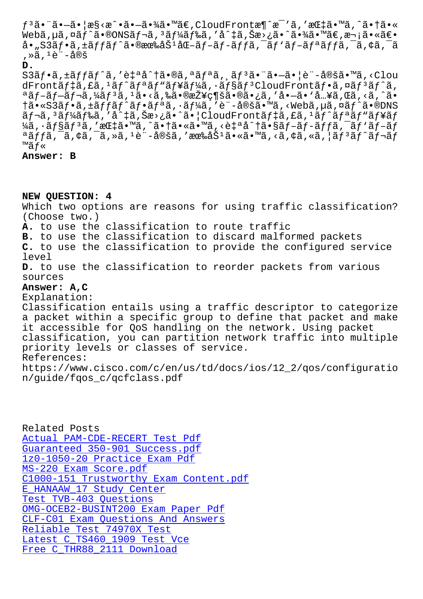weba,µa,¤aj a•wolvoaj a, aj/4aj‰a, a +a,ba⁄a• a•/4a• ae,a qa• ae• å•"S3フã,±ãƒfãƒ^㕮有努化ブãƒ-ãƒfã,¯ãƒ∙リãƒfã,¯ã,¢ã,¯ã , ȋ, <sup>1</sup>è¨-定

### **D.**

 $S3\tilde{a}f\cdot\tilde{a}f\cdot\tilde{a}f'\tilde{a}f'$ aå $\tilde{a}f\cdot\tilde{a}f\cdot\tilde{a}f''\tilde{a}f''\tilde{a}f''\tilde{a}f''\tilde{a}f''\tilde{a}f''\tilde{a}f''\tilde{a}f''\tilde{a}f''\tilde{a}f''\tilde{a}f''\tilde{a}f''\tilde{a}f''\tilde{a}f''\tilde{a}f''\tilde{a}f''\tilde{a}f''\tilde{a}f''\tilde{a}f''\tilde{a}f''\tilde$ dFrontã $f$ ‡ã,£ã, $^1$ ã $f^{\wedge}$ ã $f^{\wedge}$ ã $f^{\wedge}$ ã $f^{\wedge}$ ã $f^{\wedge}$ ã $f^{\wedge}$ ã $f^{\wedge}$ ã $f^{\wedge}$ ã $f^{\wedge}$ ã $f^{\wedge}$ ã $f^{\wedge}$ ã $f^{\wedge}$ ã $f^{\wedge}$ ã $f^{\wedge}$ ã $f^{\wedge}$ ã $f^{\wedge}$ ã $f^{\wedge}$ ã $f^{\wedge}$  $a$ ã $f$ –ã $f$ –ã $f$ ‹,¼ã $f$  $^3$ ã, $^1$ ã•<ã,‰ã•®æŽ¥ç¶šã•®ã•¿ã, 'å•–ã• `å…¥ã,Œã,<ã, $^{\circ}$ ã•  $\dagger$ ã•«S3ã $f$ •ã, $\pm$ ã $f$ fã $f$ ^ã $f$ •ã $f$ ªã, $\cdot$ ã $f$ ¼ã, $\prime$ è¨-定ã•™ã,<Webã, $\mu$ ã,¤ã $f$ ^ã•®DNS  $\tilde{a}f$ - $\tilde{a}$ ,  $\tilde{a}f'$  $\tilde{a}f''$  $\tilde{a}f''$  $\tilde{a}f''$  $\tilde{a}f''$  $\tilde{a}f''$  $\tilde{a}f''$  $\tilde{a}f''$  $\tilde{a}f''$  $\tilde{a}f''$  $\tilde{a}f''$  $\tilde{a}f''$  $\tilde{a}f''$  $\tilde{a}f''$  $\tilde{a}f''$  $\tilde{a}f''$  $\tilde{a}f''$  $\tilde{a}f''$  $\tilde{a}f''$  $\tilde{a}f''$ ¼ã, ·ãf§ãf<sup>3</sup>ã, '指ã•™ã,^㕆ã•«ã•™ã, <自å^†ã•§ãf-ãf-ãffã,<sup>-</sup>ãf`ãf-ãf  $^a$ ã $f$ fã, $^-\tilde{a}$ , $\phi$ ã, $^-\tilde{a}$ ,ȋ, $^1$ è¨-定ã,′有åŠ $^1$ ã $\bullet$ «ã $\bullet$ ™ã,<ã, $\phi$ ã,«ã, $|$ ã $f$  $^3$ ã $f^{\smallfrown}$ ã $f$ ‹ $f$ ™ãƒ«

## **Answer: B**

**NEW QUESTION: 4**

Which two options are reasons for using traffic classification? (Choose two.)

**A.** to use the classification to route traffic

**B.** to use the classification to discard malformed packets

**C.** to use the classification to provide the configured service level

**D.** to use the classification to reorder packets from various sources

# **Answer: A,C**

Explanation:

Classification entails using a traffic descriptor to categorize a packet within a specific group to define that packet and make it accessible for QoS handling on the network. Using packet classification, you can partition network traffic into multiple priority levels or classes of service.

References:

https://www.cisco.com/c/en/us/td/docs/ios/12\_2/qos/configuratio n/guide/fqos\_c/qcfclass.pdf

Related Posts Actual PAM-CDE-RECERT Test Pdf Guaranteed 350-901 Success.pdf 1z0-1050-20 Practice Exam Pdf MS-220 Exam Score.pdf [C1000-151 Trustworthy Exam Con](http://stegschool.ru/?labs=PAM-CDE-RECERT_Actual--Test-Pdf-484040)tent.pdf [E\\_HANAAW\\_17 Study Center](http://stegschool.ru/?labs=1z0-1050-20_Practice-Exam-Pdf-040515) [Test TVB-403 Questions](http://stegschool.ru/?labs=MS-220_Exam-Score.pdf-848405) [OMG-OCEB2-BUSINT200 Exam Paper Pdf](http://stegschool.ru/?labs=C1000-151_Trustworthy-Exam-Content.pdf-727373) CLF-C01 Exam Questions And Answers [Reliable Test 74970X Test](http://stegschool.ru/?labs=E_HANAAW_17_Study-Center-050515) [Latest C\\_TS460\\_1909 Te](http://stegschool.ru/?labs=TVB-403_Test--Questions-627273)[st Vce](http://stegschool.ru/?labs=OMG-OCEB2-BUSINT200_Exam-Paper-Pdf-161626) [Free C\\_THR88\\_2111 Download](http://stegschool.ru/?labs=CLF-C01_Exam-Questions-And-Answers-840405)